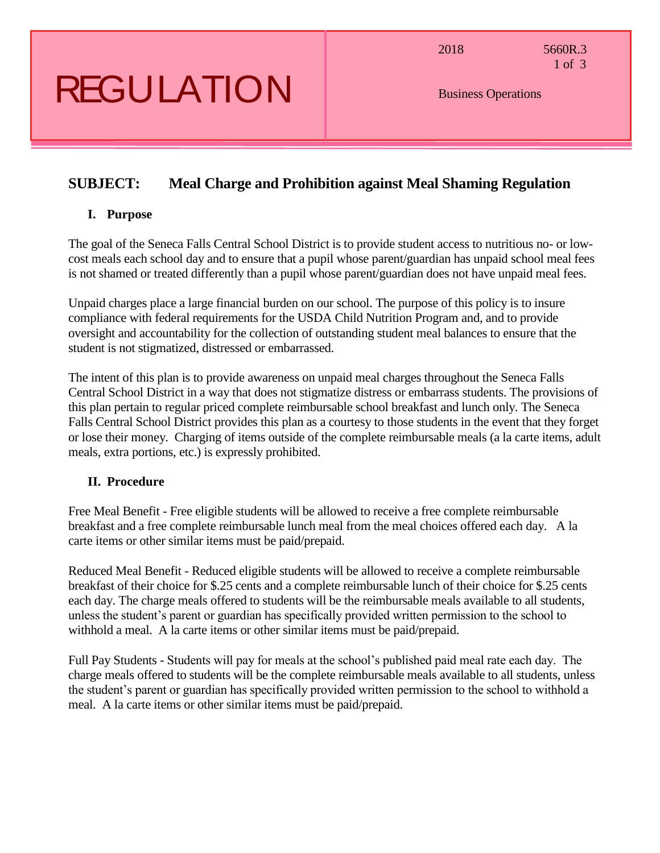# REGULATION

2018 5660R.3 1 of 3

Business Operations

### **SUBJECT: Meal Charge and Prohibition against Meal Shaming Regulation**

#### **I. Purpose**

The goal of the Seneca Falls Central School District is to provide student access to nutritious no- or lowcost meals each school day and to ensure that a pupil whose parent/guardian has unpaid school meal fees is not shamed or treated differently than a pupil whose parent/guardian does not have unpaid meal fees.

Unpaid charges place a large financial burden on our school. The purpose of this policy is to insure compliance with federal requirements for the USDA Child Nutrition Program and, and to provide oversight and accountability for the collection of outstanding student meal balances to ensure that the student is not stigmatized, distressed or embarrassed.

The intent of this plan is to provide awareness on unpaid meal charges throughout the Seneca Falls Central School District in a way that does not stigmatize distress or embarrass students. The provisions of this plan pertain to regular priced complete reimbursable school breakfast and lunch only. The Seneca Falls Central School District provides this plan as a courtesy to those students in the event that they forget or lose their money. Charging of items outside of the complete reimbursable meals (a la carte items, adult meals, extra portions, etc.) is expressly prohibited.

### **II. Procedure**

Free Meal Benefit - Free eligible students will be allowed to receive a free complete reimbursable breakfast and a free complete reimbursable lunch meal from the meal choices offered each day. A la carte items or other similar items must be paid/prepaid.

Reduced Meal Benefit - Reduced eligible students will be allowed to receive a complete reimbursable breakfast of their choice for \$.25 cents and a complete reimbursable lunch of their choice for \$.25 cents each day. The charge meals offered to students will be the reimbursable meals available to all students, unless the student's parent or guardian has specifically provided written permission to the school to withhold a meal. A la carte items or other similar items must be paid/prepaid.

Full Pay Students - Students will pay for meals at the school's published paid meal rate each day. The charge meals offered to students will be the complete reimbursable meals available to all students, unless the student's parent or guardian has specifically provided written permission to the school to withhold a meal. A la carte items or other similar items must be paid/prepaid.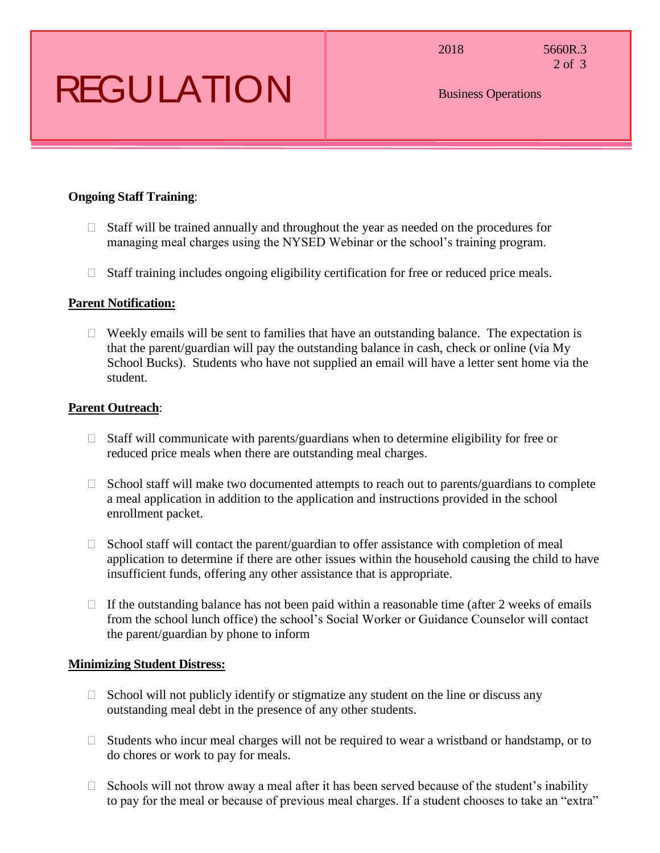### REGULATION

2018 5660R.3 2 of 3

Business Operations

#### **Ongoing Staff Training**:

- $\Box$  Staff will be trained annually and throughout the year as needed on the procedures for managing meal charges using the NYSED Webinar or the school's training program.
- $\Box$  Staff training includes ongoing eligibility certification for free or reduced price meals.

#### **Parent Notification:**

 $\Box$  Weekly emails will be sent to families that have an outstanding balance. The expectation is that the parent/guardian will pay the outstanding balance in cash, check or online (via My School Bucks). Students who have not supplied an email will have a letter sent home via the student.

#### **Parent Outreach**:

- $\Box$  Staff will communicate with parents/guardians when to determine eligibility for free or reduced price meals when there are outstanding meal charges.
- $\Box$  School staff will make two documented attempts to reach out to parents/guardians to complete a meal application in addition to the application and instructions provided in the school enrollment packet.
- $\Box$  School staff will contact the parent/guardian to offer assistance with completion of meal application to determine if there are other issues within the household causing the child to have insufficient funds, offering any other assistance that is appropriate.
- $\Box$  If the outstanding balance has not been paid within a reasonable time (after 2 weeks of emails from the school lunch office) the school's Social Worker or Guidance Counselor will contact the parent/guardian by phone to inform

#### **Minimizing Student Distress:**

- $\Box$  School will not publicly identify or stigmatize any student on the line or discuss any outstanding meal debt in the presence of any other students.
- $\Box$  Students who incur meal charges will not be required to wear a wristband or handstamp, or to do chores or work to pay for meals.
- $\Box$  Schools will not throw away a meal after it has been served because of the student's inability to pay for the meal or because of previous meal charges. If a student chooses to take an "extra"